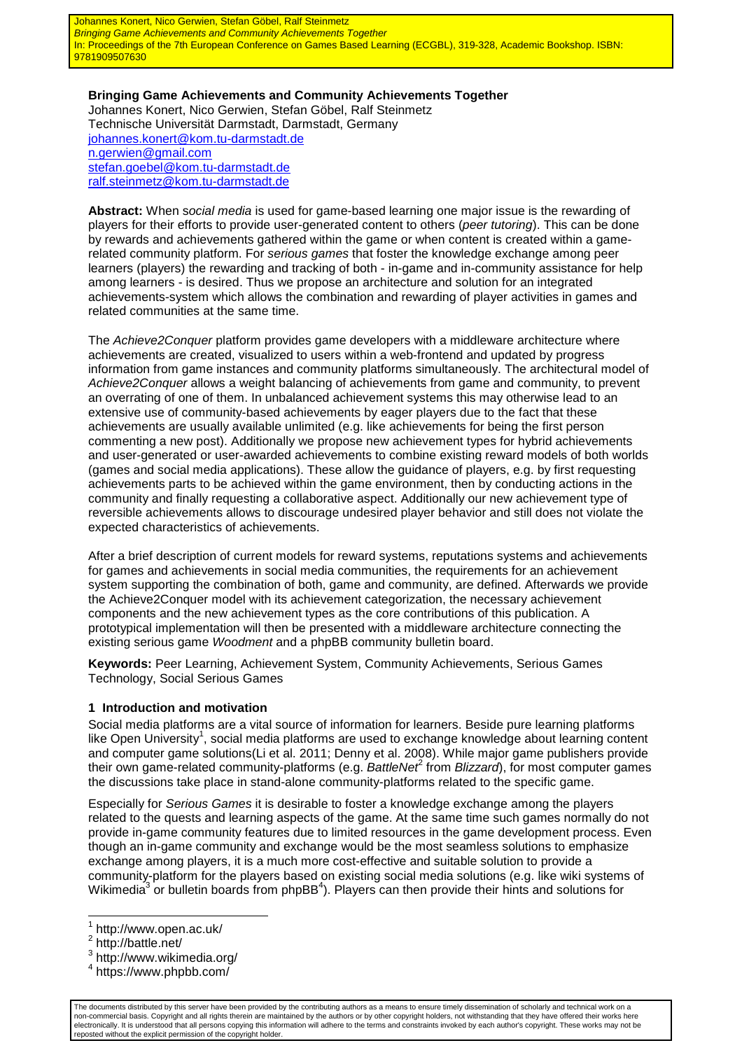Johannes Konert, Nico Gerwien, Stefan Göbel, Ralf Steinmetz **Bringing Game Achievements and Community Achievements Together** In: Proceedings of the 7th European Conference on Games Based Learning (ECGBL), 319-328, Academic Bookshop. ISBN: 9781909507630

**Bringing Game Achievements and Community Achievements Together**  Johannes Konert, Nico Gerwien, Stefan Göbel, Ralf Steinmetz Technische Universität Darmstadt, Darmstadt, Germany johannes.konert@kom.tu-darmstadt.de n.gerwien@gmail.com stefan.goebel@kom.tu-darmstadt.de ralf.steinmetz@kom.tu-darmstadt.de

**Abstract:** When social media is used for game-based learning one major issue is the rewarding of players for their efforts to provide user-generated content to others (peer tutoring). This can be done by rewards and achievements gathered within the game or when content is created within a gamerelated community platform. For serious games that foster the knowledge exchange among peer learners (players) the rewarding and tracking of both - in-game and in-community assistance for help among learners - is desired. Thus we propose an architecture and solution for an integrated achievements-system which allows the combination and rewarding of player activities in games and related communities at the same time.

The Achieve2Conquer platform provides game developers with a middleware architecture where achievements are created, visualized to users within a web-frontend and updated by progress information from game instances and community platforms simultaneously. The architectural model of Achieve2Conquer allows a weight balancing of achievements from game and community, to prevent an overrating of one of them. In unbalanced achievement systems this may otherwise lead to an extensive use of community-based achievements by eager players due to the fact that these achievements are usually available unlimited (e.g. like achievements for being the first person commenting a new post). Additionally we propose new achievement types for hybrid achievements and user-generated or user-awarded achievements to combine existing reward models of both worlds (games and social media applications). These allow the guidance of players, e.g. by first requesting achievements parts to be achieved within the game environment, then by conducting actions in the community and finally requesting a collaborative aspect. Additionally our new achievement type of reversible achievements allows to discourage undesired player behavior and still does not violate the expected characteristics of achievements.

After a brief description of current models for reward systems, reputations systems and achievements for games and achievements in social media communities, the requirements for an achievement system supporting the combination of both, game and community, are defined. Afterwards we provide the Achieve2Conquer model with its achievement categorization, the necessary achievement components and the new achievement types as the core contributions of this publication. A prototypical implementation will then be presented with a middleware architecture connecting the existing serious game Woodment and a phpBB community bulletin board.

**Keywords:** Peer Learning, Achievement System, Community Achievements, Serious Games Technology, Social Serious Games

#### **1 Introduction and motivation**

Social media platforms are a vital source of information for learners. Beside pure learning platforms like Open University<sup>1</sup>, social media platforms are used to exchange knowledge about learning content and computer game solutions(Li et al. 2011; Denny et al. 2008). While major game publishers provide their own game-related community-platforms (e.g. BattleNer from Blizzard), for most computer games the discussions take place in stand-alone community-platforms related to the specific game.

Especially for Serious Games it is desirable to foster a knowledge exchange among the players related to the quests and learning aspects of the game. At the same time such games normally do not provide in-game community features due to limited resources in the game development process. Even though an in-game community and exchange would be the most seamless solutions to emphasize exchange among players, it is a much more cost-effective and suitable solution to provide a community-platform for the players based on existing social media solutions (e.g. like wiki systems of Wikimedia<sup>3</sup> or bulletin boards from phpBB<sup>4</sup>). Players can then provide their hints and solutions for

The documents distributed by this server have been provided by the contributing authors as a means to ensure timely dissemination of scholarly and technical work on a non-commercial basis. Copyright and all rights therein are maintained by the authors or by other copyright holders, not withstanding that they have offered their works here electronically. It is understood that all persons copying this information will adhere to the terms and constraints invoked by each author's copyright. These works may not be reposted without the explicit permission of the copyright holder.

 1 http://www.open.ac.uk/

<sup>&</sup>lt;sup>2</sup> http://battle.net/

<sup>3</sup> http://www.wikimedia.org/

<sup>4</sup> https://www.phpbb.com/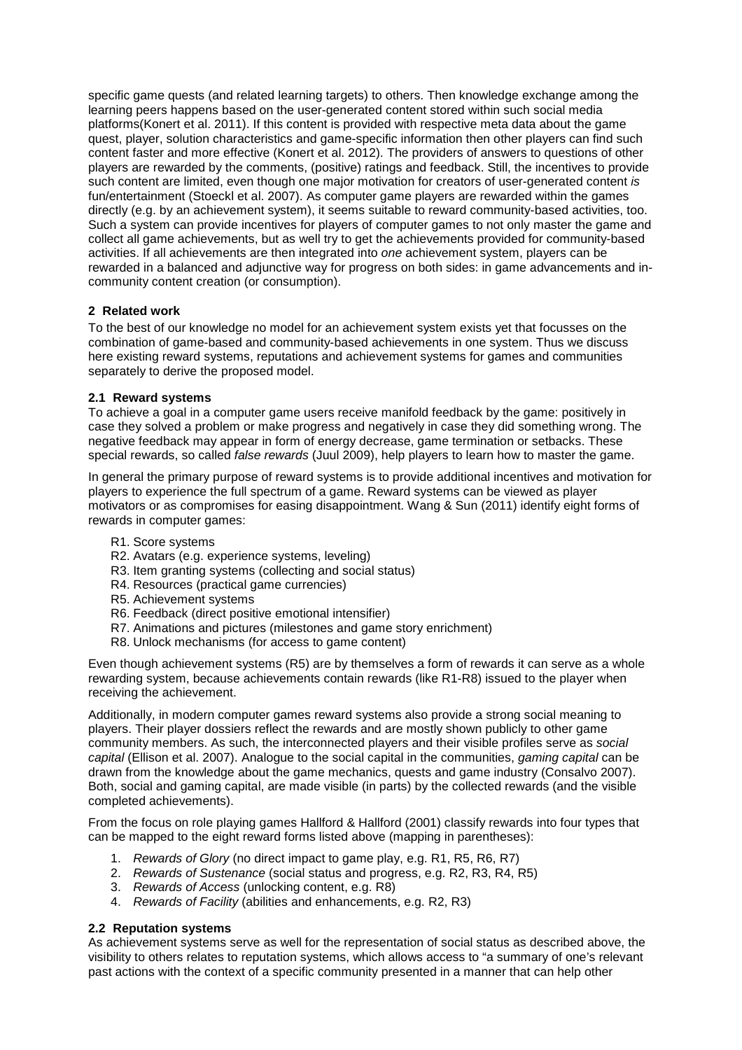specific game quests (and related learning targets) to others. Then knowledge exchange among the learning peers happens based on the user-generated content stored within such social media platforms(Konert et al. 2011). If this content is provided with respective meta data about the game quest, player, solution characteristics and game-specific information then other players can find such content faster and more effective (Konert et al. 2012). The providers of answers to questions of other players are rewarded by the comments, (positive) ratings and feedback. Still, the incentives to provide such content are limited, even though one major motivation for creators of user-generated content is fun/entertainment (Stoeckl et al. 2007). As computer game players are rewarded within the games directly (e.g. by an achievement system), it seems suitable to reward community-based activities, too. Such a system can provide incentives for players of computer games to not only master the game and collect all game achievements, but as well try to get the achievements provided for community-based activities. If all achievements are then integrated into one achievement system, players can be rewarded in a balanced and adjunctive way for progress on both sides: in game advancements and incommunity content creation (or consumption).

# **2 Related work**

To the best of our knowledge no model for an achievement system exists yet that focusses on the combination of game-based and community-based achievements in one system. Thus we discuss here existing reward systems, reputations and achievement systems for games and communities separately to derive the proposed model.

# **2.1 Reward systems**

To achieve a goal in a computer game users receive manifold feedback by the game: positively in case they solved a problem or make progress and negatively in case they did something wrong. The negative feedback may appear in form of energy decrease, game termination or setbacks. These special rewards, so called *false rewards* (Juul 2009), help players to learn how to master the game.

In general the primary purpose of reward systems is to provide additional incentives and motivation for players to experience the full spectrum of a game. Reward systems can be viewed as player motivators or as compromises for easing disappointment. Wang & Sun (2011) identify eight forms of rewards in computer games:

- R1. Score systems
- R2. Avatars (e.g. experience systems, leveling)
- R3. Item granting systems (collecting and social status)
- R4. Resources (practical game currencies)
- R5. Achievement systems
- R6. Feedback (direct positive emotional intensifier)
- R7. Animations and pictures (milestones and game story enrichment)
- R8. Unlock mechanisms (for access to game content)

Even though achievement systems (R5) are by themselves a form of rewards it can serve as a whole rewarding system, because achievements contain rewards (like R1-R8) issued to the player when receiving the achievement.

Additionally, in modern computer games reward systems also provide a strong social meaning to players. Their player dossiers reflect the rewards and are mostly shown publicly to other game community members. As such, the interconnected players and their visible profiles serve as social capital (Ellison et al. 2007). Analogue to the social capital in the communities, gaming capital can be drawn from the knowledge about the game mechanics, quests and game industry (Consalvo 2007). Both, social and gaming capital, are made visible (in parts) by the collected rewards (and the visible completed achievements).

From the focus on role playing games Hallford & Hallford (2001) classify rewards into four types that can be mapped to the eight reward forms listed above (mapping in parentheses):

- 1. Rewards of Glory (no direct impact to game play, e.g. R1, R5, R6, R7)
- 2. Rewards of Sustenance (social status and progress, e.g. R2, R3, R4, R5)
- 3. Rewards of Access (unlocking content, e.g. R8)
- 4. Rewards of Facility (abilities and enhancements, e.g. R2, R3)

# **2.2 Reputation systems**

As achievement systems serve as well for the representation of social status as described above, the visibility to others relates to reputation systems, which allows access to "a summary of one's relevant past actions with the context of a specific community presented in a manner that can help other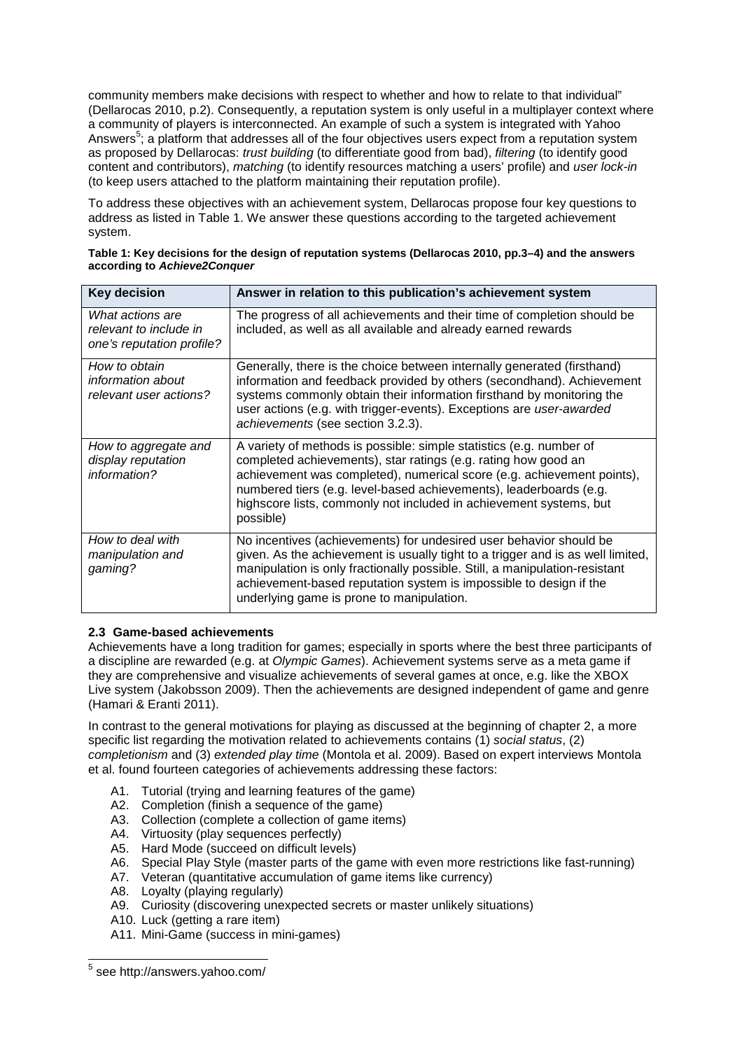community members make decisions with respect to whether and how to relate to that individual" (Dellarocas 2010, p.2). Consequently, a reputation system is only useful in a multiplayer context where a community of players is interconnected. An example of such a system is integrated with Yahoo Answers<sup>5</sup>; a platform that addresses all of the four objectives users expect from a reputation system as proposed by Dellarocas: trust building (to differentiate good from bad), filtering (to identify good content and contributors), matching (to identify resources matching a users' profile) and user lock-in (to keep users attached to the platform maintaining their reputation profile).

To address these objectives with an achievement system, Dellarocas propose four key questions to address as listed in Table 1. We answer these questions according to the targeted achievement system.

| <b>Key decision</b>                                                     | Answer in relation to this publication's achievement system                                                                                                                                                                                                                                                                                                              |
|-------------------------------------------------------------------------|--------------------------------------------------------------------------------------------------------------------------------------------------------------------------------------------------------------------------------------------------------------------------------------------------------------------------------------------------------------------------|
| What actions are<br>relevant to include in<br>one's reputation profile? | The progress of all achievements and their time of completion should be<br>included, as well as all available and already earned rewards                                                                                                                                                                                                                                 |
| How to obtain<br>information about<br>relevant user actions?            | Generally, there is the choice between internally generated (firsthand)<br>information and feedback provided by others (secondhand). Achievement<br>systems commonly obtain their information firsthand by monitoring the<br>user actions (e.g. with trigger-events). Exceptions are user-awarded<br>achievements (see section 3.2.3).                                   |
| How to aggregate and<br>display reputation<br>information?              | A variety of methods is possible: simple statistics (e.g. number of<br>completed achievements), star ratings (e.g. rating how good an<br>achievement was completed), numerical score (e.g. achievement points),<br>numbered tiers (e.g. level-based achievements), leaderboards (e.g.<br>highscore lists, commonly not included in achievement systems, but<br>possible) |
| How to deal with<br>manipulation and<br>gaming?                         | No incentives (achievements) for undesired user behavior should be<br>given. As the achievement is usually tight to a trigger and is as well limited,<br>manipulation is only fractionally possible. Still, a manipulation-resistant<br>achievement-based reputation system is impossible to design if the<br>underlying game is prone to manipulation.                  |

| Table 1: Key decisions for the design of reputation systems (Dellarocas 2010, pp.3–4) and the answers |
|-------------------------------------------------------------------------------------------------------|
| according to Achieve2Conquer                                                                          |

# **2.3 Game-based achievements**

Achievements have a long tradition for games; especially in sports where the best three participants of a discipline are rewarded (e.g. at Olympic Games). Achievement systems serve as a meta game if they are comprehensive and visualize achievements of several games at once, e.g. like the XBOX Live system (Jakobsson 2009). Then the achievements are designed independent of game and genre (Hamari & Eranti 2011).

In contrast to the general motivations for playing as discussed at the beginning of chapter 2, a more specific list regarding the motivation related to achievements contains (1) social status, (2) completionism and (3) extended play time (Montola et al. 2009). Based on expert interviews Montola et al. found fourteen categories of achievements addressing these factors:

- A1. Tutorial (trying and learning features of the game)
- A2. Completion (finish a sequence of the game)
- A3. Collection (complete a collection of game items)
- A4. Virtuosity (play sequences perfectly)
- A5. Hard Mode (succeed on difficult levels)
- A6. Special Play Style (master parts of the game with even more restrictions like fast-running)
- A7. Veteran (quantitative accumulation of game items like currency)
- A8. Loyalty (playing regularly)
- A9. Curiosity (discovering unexpected secrets or master unlikely situations)
- A10. Luck (getting a rare item)
- A11. Mini-Game (success in mini-games)

 5 see http://answers.yahoo.com/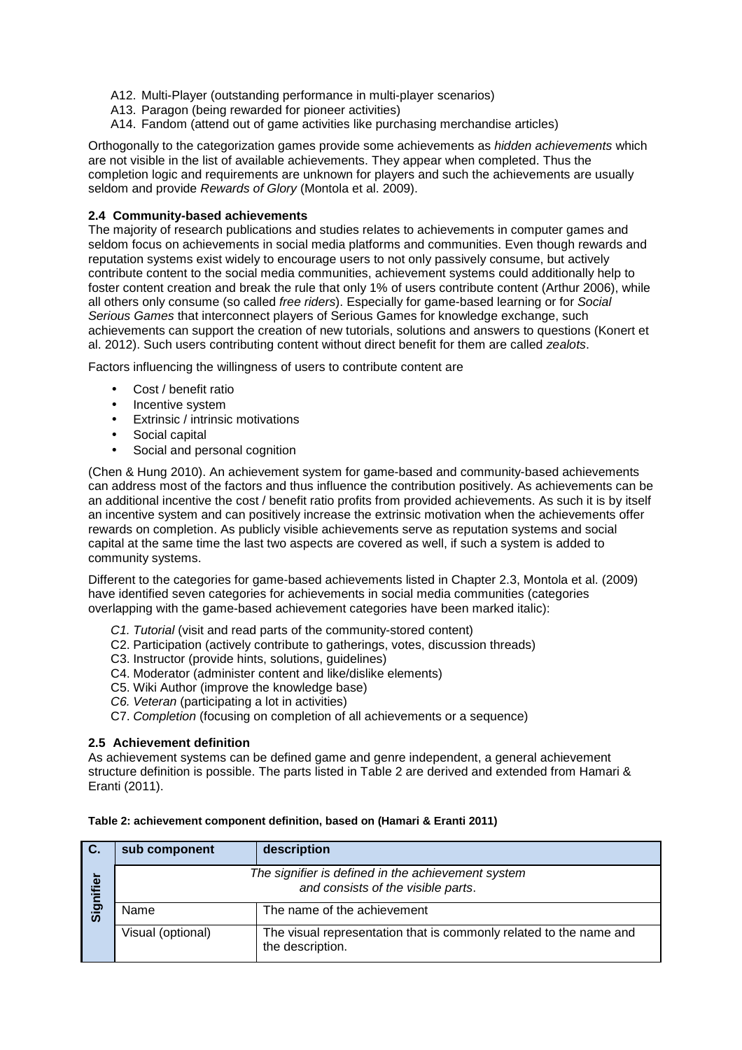- A12. Multi-Player (outstanding performance in multi-player scenarios)
- A13. Paragon (being rewarded for pioneer activities)
- A14. Fandom (attend out of game activities like purchasing merchandise articles)

Orthogonally to the categorization games provide some achievements as hidden achievements which are not visible in the list of available achievements. They appear when completed. Thus the completion logic and requirements are unknown for players and such the achievements are usually seldom and provide Rewards of Glory (Montola et al. 2009).

### **2.4 Community-based achievements**

The majority of research publications and studies relates to achievements in computer games and seldom focus on achievements in social media platforms and communities. Even though rewards and reputation systems exist widely to encourage users to not only passively consume, but actively contribute content to the social media communities, achievement systems could additionally help to foster content creation and break the rule that only 1% of users contribute content (Arthur 2006), while all others only consume (so called *free riders*). Especially for game-based learning or for Social Serious Games that interconnect players of Serious Games for knowledge exchange, such achievements can support the creation of new tutorials, solutions and answers to questions (Konert et al. 2012). Such users contributing content without direct benefit for them are called zealots.

Factors influencing the willingness of users to contribute content are

- Cost / benefit ratio
- Incentive system
- Extrinsic / intrinsic motivations
- Social capital
- Social and personal cognition

(Chen & Hung 2010). An achievement system for game-based and community-based achievements can address most of the factors and thus influence the contribution positively. As achievements can be an additional incentive the cost / benefit ratio profits from provided achievements. As such it is by itself an incentive system and can positively increase the extrinsic motivation when the achievements offer rewards on completion. As publicly visible achievements serve as reputation systems and social capital at the same time the last two aspects are covered as well, if such a system is added to community systems.

Different to the categories for game-based achievements listed in Chapter 2.3, Montola et al. (2009) have identified seven categories for achievements in social media communities (categories overlapping with the game-based achievement categories have been marked italic):

- C1. Tutorial (visit and read parts of the community-stored content)
- C2. Participation (actively contribute to gatherings, votes, discussion threads)
- C3. Instructor (provide hints, solutions, guidelines)
- C4. Moderator (administer content and like/dislike elements)
- C5. Wiki Author (improve the knowledge base)
- C6. Veteran (participating a lot in activities)
- C7. Completion (focusing on completion of all achievements or a sequence)

#### **2.5 Achievement definition**

As achievement systems can be defined game and genre independent, a general achievement structure definition is possible. The parts listed in Table 2 are derived and extended from Hamari & Eranti (2011).

| C.        | sub component                                                                                               | description                 |  |  |
|-----------|-------------------------------------------------------------------------------------------------------------|-----------------------------|--|--|
| Signifier | The signifier is defined in the achievement system<br>and consists of the visible parts.                    |                             |  |  |
|           | Name                                                                                                        | The name of the achievement |  |  |
|           | The visual representation that is commonly related to the name and<br>Visual (optional)<br>the description. |                             |  |  |

#### **Table 2: achievement component definition, based on (Hamari & Eranti 2011)**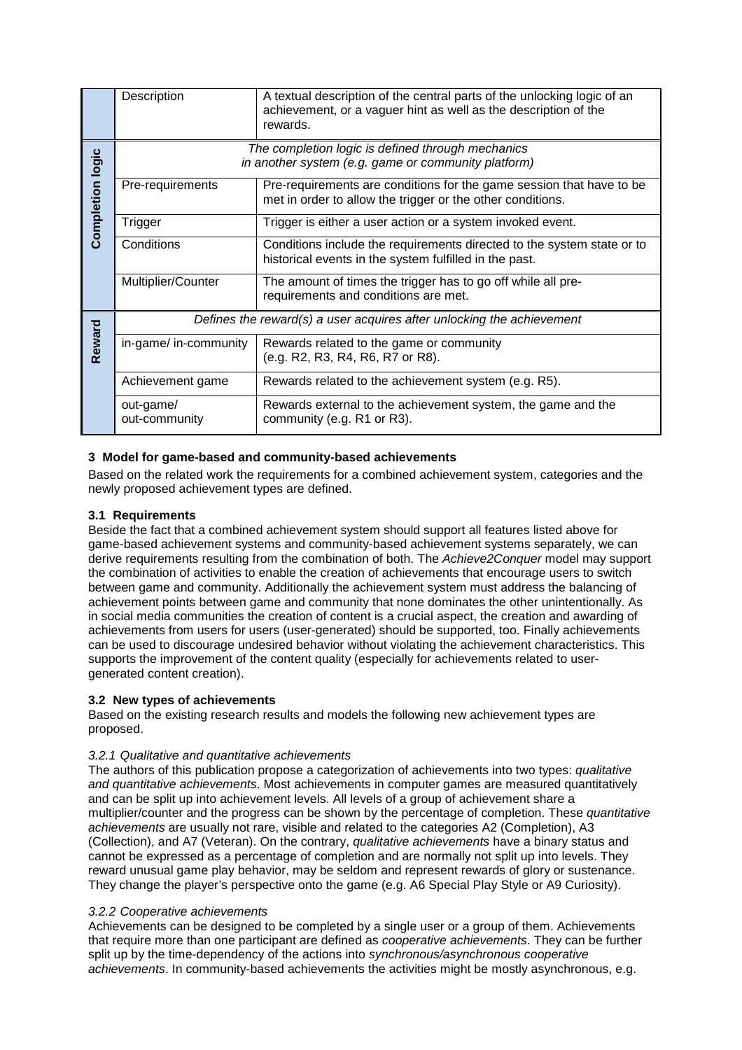|                         | Description<br>A textual description of the central parts of the unlocking logic of an<br>achievement, or a vaguer hint as well as the description of the<br>rewards. |                                                                                                                                    |  |  |  |  |
|-------------------------|-----------------------------------------------------------------------------------------------------------------------------------------------------------------------|------------------------------------------------------------------------------------------------------------------------------------|--|--|--|--|
|                         | The completion logic is defined through mechanics<br>in another system (e.g. game or community platform)                                                              |                                                                                                                                    |  |  |  |  |
| <b>Completion logic</b> | Pre-requirements                                                                                                                                                      | Pre-requirements are conditions for the game session that have to be<br>met in order to allow the trigger or the other conditions. |  |  |  |  |
|                         | Trigger                                                                                                                                                               | Trigger is either a user action or a system invoked event.                                                                         |  |  |  |  |
|                         | Conditions<br>Conditions include the requirements directed to the system state or to<br>historical events in the system fulfilled in the past.                        |                                                                                                                                    |  |  |  |  |
|                         | Multiplier/Counter                                                                                                                                                    | The amount of times the trigger has to go off while all pre-<br>requirements and conditions are met.                               |  |  |  |  |
|                         | Defines the reward(s) a user acquires after unlocking the achievement                                                                                                 |                                                                                                                                    |  |  |  |  |
| Reward                  | in-game/ in-community                                                                                                                                                 | Rewards related to the game or community<br>(e.g. R2, R3, R4, R6, R7 or R8).                                                       |  |  |  |  |
|                         | Achievement game<br>Rewards related to the achievement system (e.g. R5).                                                                                              |                                                                                                                                    |  |  |  |  |
|                         | out-game/<br>out-community                                                                                                                                            | Rewards external to the achievement system, the game and the<br>community (e.g. R1 or R3).                                         |  |  |  |  |

# **3 Model for game-based and community-based achievements**

Based on the related work the requirements for a combined achievement system, categories and the newly proposed achievement types are defined.

# **3.1 Requirements**

Beside the fact that a combined achievement system should support all features listed above for game-based achievement systems and community-based achievement systems separately, we can derive requirements resulting from the combination of both. The Achieve2Conquer model may support the combination of activities to enable the creation of achievements that encourage users to switch between game and community. Additionally the achievement system must address the balancing of achievement points between game and community that none dominates the other unintentionally. As in social media communities the creation of content is a crucial aspect, the creation and awarding of achievements from users for users (user-generated) should be supported, too. Finally achievements can be used to discourage undesired behavior without violating the achievement characteristics. This supports the improvement of the content quality (especially for achievements related to usergenerated content creation).

# **3.2 New types of achievements**

Based on the existing research results and models the following new achievement types are proposed.

# 3.2.1 Qualitative and quantitative achievements

The authors of this publication propose a categorization of achievements into two types: qualitative and quantitative achievements. Most achievements in computer games are measured quantitatively and can be split up into achievement levels. All levels of a group of achievement share a multiplier/counter and the progress can be shown by the percentage of completion. These *quantitative* achievements are usually not rare, visible and related to the categories A2 (Completion), A3 (Collection), and A7 (Veteran). On the contrary, qualitative achievements have a binary status and cannot be expressed as a percentage of completion and are normally not split up into levels. They reward unusual game play behavior, may be seldom and represent rewards of glory or sustenance. They change the player's perspective onto the game (e.g. A6 Special Play Style or A9 Curiosity).

#### 3.2.2 Cooperative achievements

Achievements can be designed to be completed by a single user or a group of them. Achievements that require more than one participant are defined as *cooperative achievements*. They can be further split up by the time-dependency of the actions into synchronous/asynchronous cooperative achievements. In community-based achievements the activities might be mostly asynchronous, e.g.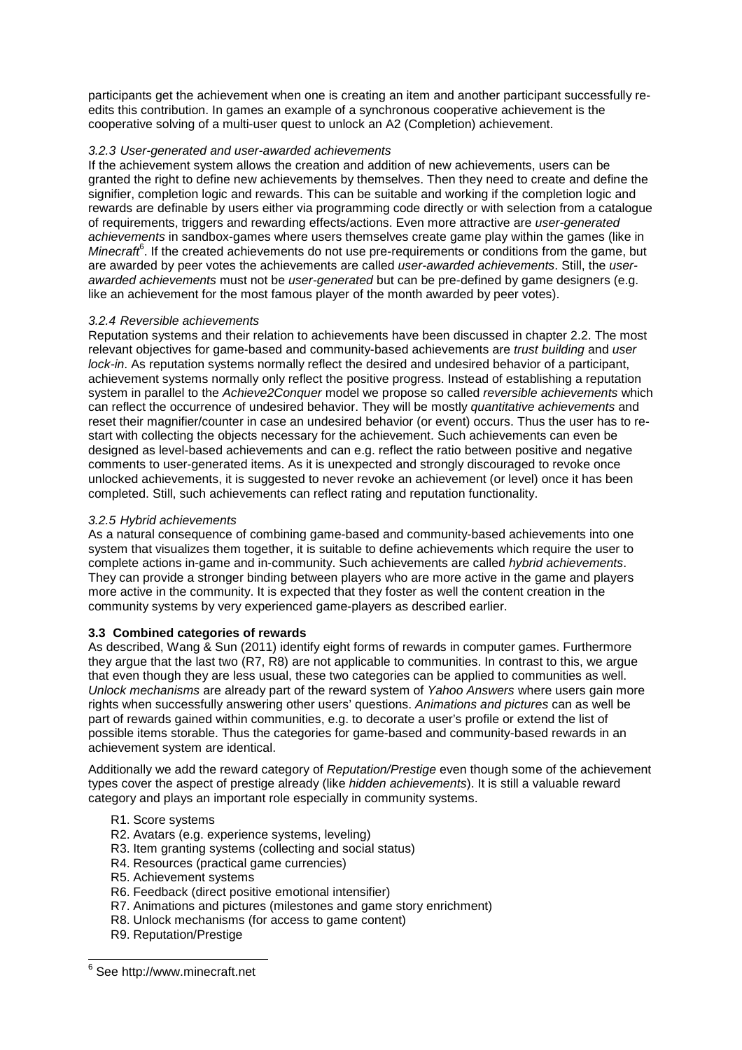participants get the achievement when one is creating an item and another participant successfully reedits this contribution. In games an example of a synchronous cooperative achievement is the cooperative solving of a multi-user quest to unlock an A2 (Completion) achievement.

### 3.2.3 User-generated and user-awarded achievements

If the achievement system allows the creation and addition of new achievements, users can be granted the right to define new achievements by themselves. Then they need to create and define the signifier, completion logic and rewards. This can be suitable and working if the completion logic and rewards are definable by users either via programming code directly or with selection from a catalogue of requirements, triggers and rewarding effects/actions. Even more attractive are user-generated achievements in sandbox-games where users themselves create game play within the games (like in Minecraft<sup>6</sup>. If the created achievements do not use pre-requirements or conditions from the game, but are awarded by peer votes the achievements are called user-awarded achievements. Still, the userawarded achievements must not be user-generated but can be pre-defined by game designers (e.g. like an achievement for the most famous player of the month awarded by peer votes).

### 3.2.4 Reversible achievements

Reputation systems and their relation to achievements have been discussed in chapter 2.2. The most relevant objectives for game-based and community-based achievements are *trust building* and user lock-in. As reputation systems normally reflect the desired and undesired behavior of a participant, achievement systems normally only reflect the positive progress. Instead of establishing a reputation system in parallel to the Achieve2Conquer model we propose so called reversible achievements which can reflect the occurrence of undesired behavior. They will be mostly quantitative achievements and reset their magnifier/counter in case an undesired behavior (or event) occurs. Thus the user has to restart with collecting the objects necessary for the achievement. Such achievements can even be designed as level-based achievements and can e.g. reflect the ratio between positive and negative comments to user-generated items. As it is unexpected and strongly discouraged to revoke once unlocked achievements, it is suggested to never revoke an achievement (or level) once it has been completed. Still, such achievements can reflect rating and reputation functionality.

## 3.2.5 Hybrid achievements

As a natural consequence of combining game-based and community-based achievements into one system that visualizes them together, it is suitable to define achievements which require the user to complete actions in-game and in-community. Such achievements are called hybrid achievements. They can provide a stronger binding between players who are more active in the game and players more active in the community. It is expected that they foster as well the content creation in the community systems by very experienced game-players as described earlier.

# **3.3 Combined categories of rewards**

As described, Wang & Sun (2011) identify eight forms of rewards in computer games. Furthermore they argue that the last two (R7, R8) are not applicable to communities. In contrast to this, we argue that even though they are less usual, these two categories can be applied to communities as well. Unlock mechanisms are already part of the reward system of Yahoo Answers where users gain more rights when successfully answering other users' questions. Animations and pictures can as well be part of rewards gained within communities, e.g. to decorate a user's profile or extend the list of possible items storable. Thus the categories for game-based and community-based rewards in an achievement system are identical.

Additionally we add the reward category of Reputation/Prestige even though some of the achievement types cover the aspect of prestige already (like hidden achievements). It is still a valuable reward category and plays an important role especially in community systems.

### R1. Score systems

- R2. Avatars (e.g. experience systems, leveling)
- R3. Item granting systems (collecting and social status)
- R4. Resources (practical game currencies)
- R5. Achievement systems
- R6. Feedback (direct positive emotional intensifier)
- R7. Animations and pictures (milestones and game story enrichment)
- R8. Unlock mechanisms (for access to game content)
- R9. Reputation/Prestige

 $\overline{a}$ 

<sup>&</sup>lt;sup>6</sup> See http://www.minecraft.net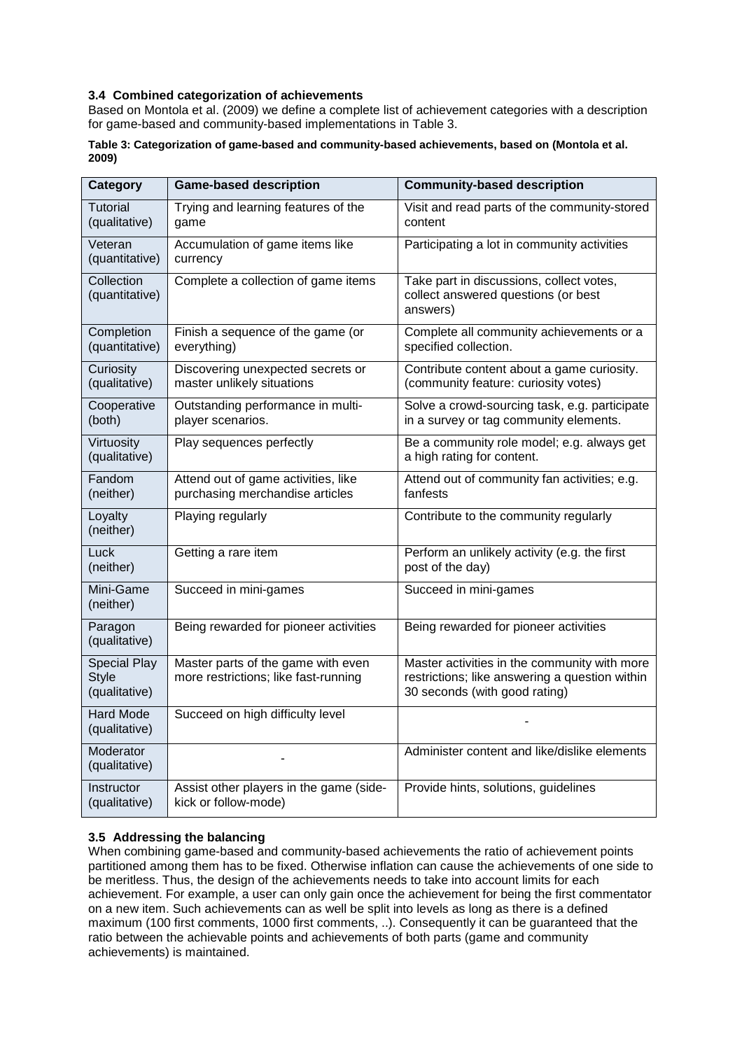## **3.4 Combined categorization of achievements**

Based on Montola et al. (2009) we define a complete list of achievement categories with a description for game-based and community-based implementations in Table 3.

### **Table 3: Categorization of game-based and community-based achievements, based on (Montola et al. 2009)**

| Category                                             | <b>Game-based description</b>                                              | <b>Community-based description</b>                                                                                              |
|------------------------------------------------------|----------------------------------------------------------------------------|---------------------------------------------------------------------------------------------------------------------------------|
| <b>Tutorial</b><br>(qualitative)                     | Trying and learning features of the<br>game                                | Visit and read parts of the community-stored<br>content                                                                         |
| Veteran<br>(quantitative)                            | Accumulation of game items like<br>currency                                | Participating a lot in community activities                                                                                     |
| Collection<br>(quantitative)                         | Complete a collection of game items                                        | Take part in discussions, collect votes,<br>collect answered questions (or best<br>answers)                                     |
| Completion<br>(quantitative)                         | Finish a sequence of the game (or<br>everything)                           | Complete all community achievements or a<br>specified collection.                                                               |
| Curiosity<br>(qualitative)                           | Discovering unexpected secrets or<br>master unlikely situations            | Contribute content about a game curiosity.<br>(community feature: curiosity votes)                                              |
| Cooperative<br>(both)                                | Outstanding performance in multi-<br>player scenarios.                     | Solve a crowd-sourcing task, e.g. participate<br>in a survey or tag community elements.                                         |
| Virtuosity<br>(qualitative)                          | Play sequences perfectly                                                   | Be a community role model; e.g. always get<br>a high rating for content.                                                        |
| Fandom<br>(neither)                                  | Attend out of game activities, like<br>purchasing merchandise articles     | Attend out of community fan activities; e.g.<br>fanfests                                                                        |
| Loyalty<br>(neither)                                 | Playing regularly                                                          | Contribute to the community regularly                                                                                           |
| Luck<br>(neither)                                    | Getting a rare item                                                        | Perform an unlikely activity (e.g. the first<br>post of the day)                                                                |
| Mini-Game<br>(neither)                               | Succeed in mini-games                                                      | Succeed in mini-games                                                                                                           |
| Paragon<br>(qualitative)                             | Being rewarded for pioneer activities                                      | Being rewarded for pioneer activities                                                                                           |
| <b>Special Play</b><br><b>Style</b><br>(qualitative) | Master parts of the game with even<br>more restrictions; like fast-running | Master activities in the community with more<br>restrictions; like answering a question within<br>30 seconds (with good rating) |
| <b>Hard Mode</b><br>(qualitative)                    | Succeed on high difficulty level                                           |                                                                                                                                 |
| Moderator<br>(qualitative)                           |                                                                            | Administer content and like/dislike elements                                                                                    |
| Instructor<br>(qualitative)                          | Assist other players in the game (side-<br>kick or follow-mode)            | Provide hints, solutions, guidelines                                                                                            |

# **3.5 Addressing the balancing**

When combining game-based and community-based achievements the ratio of achievement points partitioned among them has to be fixed. Otherwise inflation can cause the achievements of one side to be meritless. Thus, the design of the achievements needs to take into account limits for each achievement. For example, a user can only gain once the achievement for being the first commentator on a new item. Such achievements can as well be split into levels as long as there is a defined maximum (100 first comments, 1000 first comments, ..). Consequently it can be guaranteed that the ratio between the achievable points and achievements of both parts (game and community achievements) is maintained.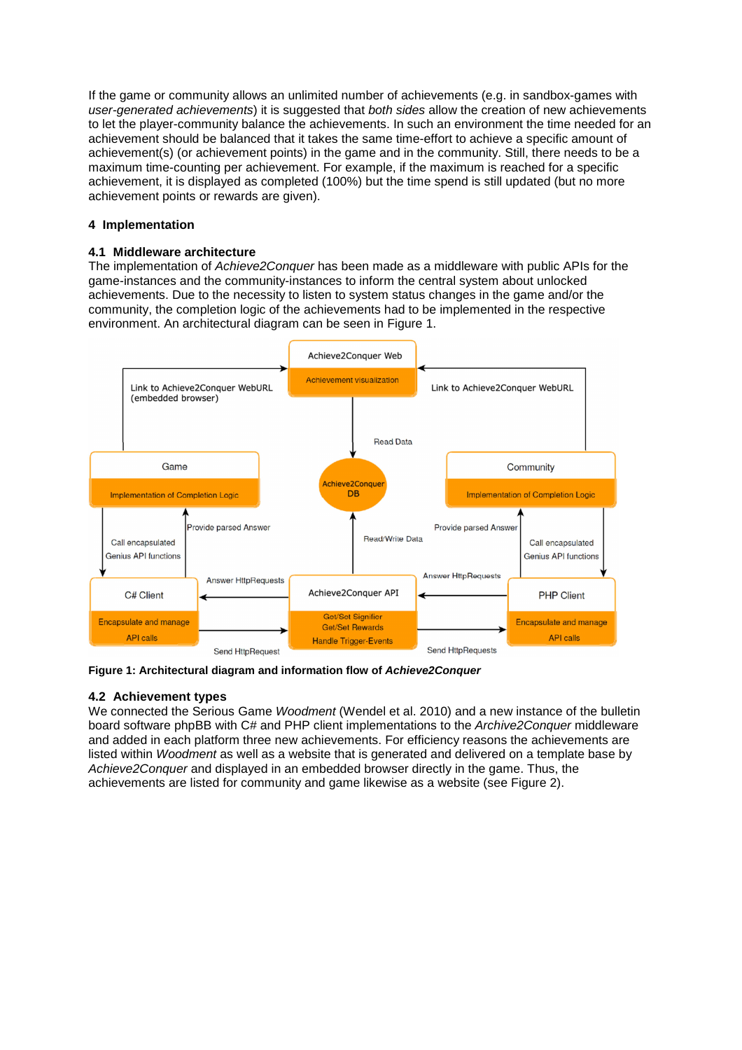If the game or community allows an unlimited number of achievements (e.g. in sandbox-games with user-generated achievements) it is suggested that both sides allow the creation of new achievements to let the player-community balance the achievements. In such an environment the time needed for an achievement should be balanced that it takes the same time-effort to achieve a specific amount of achievement(s) (or achievement points) in the game and in the community. Still, there needs to be a maximum time-counting per achievement. For example, if the maximum is reached for a specific achievement, it is displayed as completed (100%) but the time spend is still updated (but no more achievement points or rewards are given).

## **4 Implementation**

## **4.1 Middleware architecture**

The implementation of Achieve2Conquer has been made as a middleware with public APIs for the game-instances and the community-instances to inform the central system about unlocked achievements. Due to the necessity to listen to system status changes in the game and/or the community, the completion logic of the achievements had to be implemented in the respective environment. An architectural diagram can be seen in Figure 1.



**Figure 1: Architectural diagram and information flow of Achieve2Conquer**

# **4.2 Achievement types**

We connected the Serious Game Woodment (Wendel et al. 2010) and a new instance of the bulletin board software phpBB with C# and PHP client implementations to the Archive2Conquer middleware and added in each platform three new achievements. For efficiency reasons the achievements are listed within Woodment as well as a website that is generated and delivered on a template base by Achieve2Conquer and displayed in an embedded browser directly in the game. Thus, the achievements are listed for community and game likewise as a website (see Figure 2).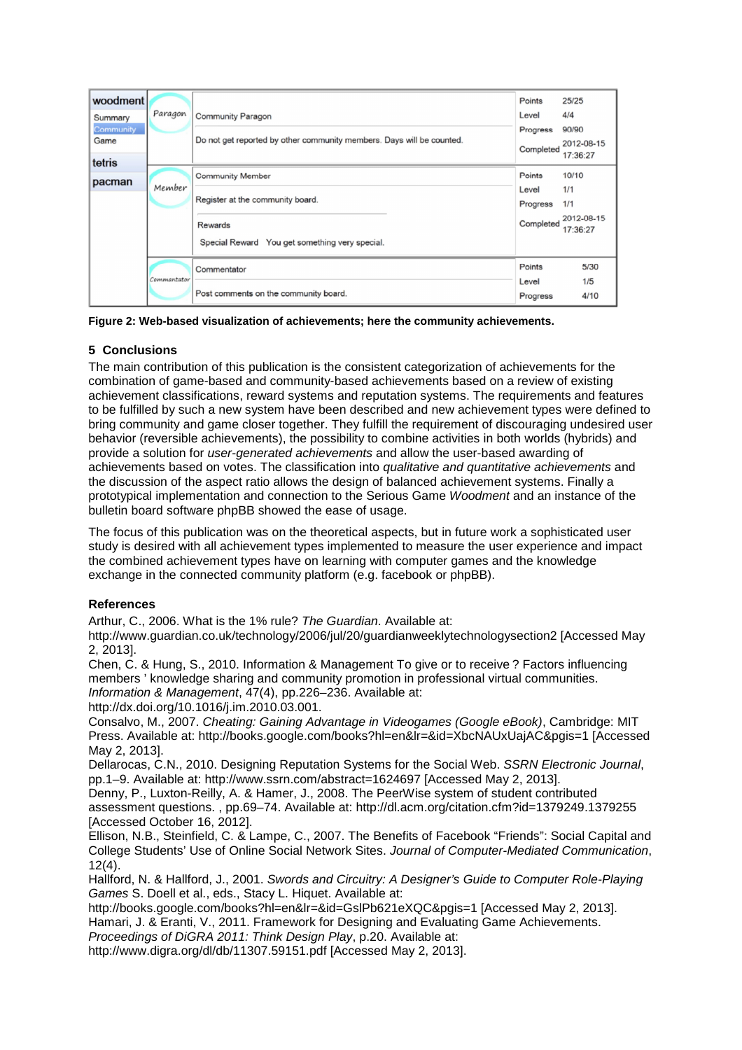| woodment                                      | Paragon     |                                                                                                   | Points<br>Level       | 25/25<br>4/4                    |
|-----------------------------------------------|-------------|---------------------------------------------------------------------------------------------------|-----------------------|---------------------------------|
| Summary<br><b>Community</b><br>Game<br>tetris |             | <b>Community Paragon</b><br>Do not get reported by other community members. Days will be counted. | Progress<br>Completed | 90/90<br>2012-08-15<br>17:36:27 |
| pacman                                        | Member      | <b>Community Member</b><br>Register at the community board.                                       | Points<br>Level       | 10/10<br>1/1                    |
|                                               |             |                                                                                                   | Progress              | 1/1                             |
|                                               |             | Rewards<br>Special Reward You get something very special.                                         | Completed             | 2012-08-15<br>17:36:27          |
|                                               | Commantator | Commentator                                                                                       | Points                | 5/30                            |
|                                               |             | Post comments on the community board.                                                             | Level<br>Progress     | 1/5<br>4/10                     |

| Figure 2: Web-based visualization of achievements; here the community achievements. |  |  |  |  |  |
|-------------------------------------------------------------------------------------|--|--|--|--|--|
|-------------------------------------------------------------------------------------|--|--|--|--|--|

# **5 Conclusions**

The main contribution of this publication is the consistent categorization of achievements for the combination of game-based and community-based achievements based on a review of existing achievement classifications, reward systems and reputation systems. The requirements and features to be fulfilled by such a new system have been described and new achievement types were defined to bring community and game closer together. They fulfill the requirement of discouraging undesired user behavior (reversible achievements), the possibility to combine activities in both worlds (hybrids) and provide a solution for user-generated achievements and allow the user-based awarding of achievements based on votes. The classification into qualitative and quantitative achievements and the discussion of the aspect ratio allows the design of balanced achievement systems. Finally a prototypical implementation and connection to the Serious Game Woodment and an instance of the bulletin board software phpBB showed the ease of usage.

The focus of this publication was on the theoretical aspects, but in future work a sophisticated user study is desired with all achievement types implemented to measure the user experience and impact the combined achievement types have on learning with computer games and the knowledge exchange in the connected community platform (e.g. facebook or phpBB).

# **References**

Arthur, C., 2006. What is the 1% rule? The Guardian. Available at:

http://www.guardian.co.uk/technology/2006/jul/20/guardianweeklytechnologysection2 [Accessed May 2, 2013].

Chen, C. & Hung, S., 2010. Information & Management To give or to receive ? Factors influencing members ' knowledge sharing and community promotion in professional virtual communities. Information & Management, 47(4), pp.226–236. Available at:

http://dx.doi.org/10.1016/j.im.2010.03.001.

Consalvo, M., 2007. Cheating: Gaining Advantage in Videogames (Google eBook), Cambridge: MIT Press. Available at: http://books.google.com/books?hl=en&lr=&id=XbcNAUxUajAC&pgis=1 [Accessed May 2, 2013].

Dellarocas, C.N., 2010. Designing Reputation Systems for the Social Web. SSRN Electronic Journal, pp.1–9. Available at: http://www.ssrn.com/abstract=1624697 [Accessed May 2, 2013].

Denny, P., Luxton-Reilly, A. & Hamer, J., 2008. The PeerWise system of student contributed assessment questions. , pp.69–74. Available at: http://dl.acm.org/citation.cfm?id=1379249.1379255 [Accessed October 16, 2012].

Ellison, N.B., Steinfield, C. & Lampe, C., 2007. The Benefits of Facebook "Friends": Social Capital and College Students' Use of Online Social Network Sites. Journal of Computer-Mediated Communication, 12(4).

Hallford, N. & Hallford, J., 2001. Swords and Circuitry: A Designer's Guide to Computer Role-Playing Games S. Doell et al., eds., Stacy L. Hiquet. Available at:

http://books.google.com/books?hl=en&lr=&id=GslPb621eXQC&pgis=1 [Accessed May 2, 2013]. Hamari, J. & Eranti, V., 2011. Framework for Designing and Evaluating Game Achievements. Proceedings of DiGRA 2011: Think Design Play, p.20. Available at:

http://www.digra.org/dl/db/11307.59151.pdf [Accessed May 2, 2013].